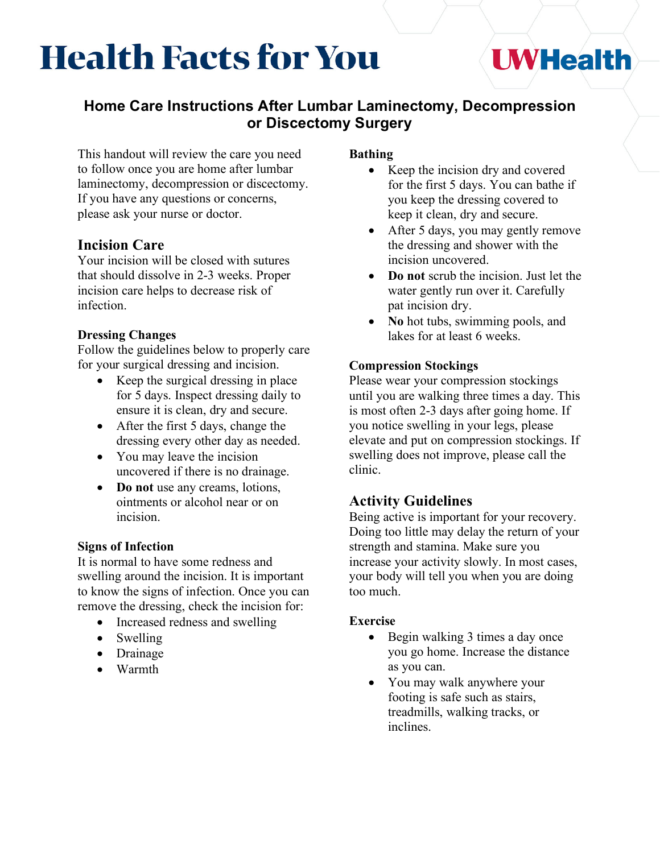# **Health Facts for You**

# **UWHealth**

# **Home Care Instructions After Lumbar Laminectomy, Decompression or Discectomy Surgery**

This handout will review the care you need to follow once you are home after lumbar laminectomy, decompression or discectomy. If you have any questions or concerns, please ask your nurse or doctor.

## **Incision Care**

Your incision will be closed with sutures that should dissolve in 2-3 weeks. Proper incision care helps to decrease risk of infection.

#### **Dressing Changes**

Follow the guidelines below to properly care for your surgical dressing and incision.

- Keep the surgical dressing in place for 5 days. Inspect dressing daily to ensure it is clean, dry and secure.
- After the first 5 days, change the dressing every other day as needed.
- You may leave the incision uncovered if there is no drainage.
- **Do not** use any creams, lotions, ointments or alcohol near or on incision.

### **Signs of Infection**

It is normal to have some redness and swelling around the incision. It is important to know the signs of infection. Once you can remove the dressing, check the incision for:

- Increased redness and swelling
- Swelling
- Drainage
- Warmth

#### **Bathing**

- Keep the incision dry and covered for the first 5 days. You can bathe if you keep the dressing covered to keep it clean, dry and secure.
- After 5 days, you may gently remove the dressing and shower with the incision uncovered.
- **Do not** scrub the incision. Just let the water gently run over it. Carefully pat incision dry.
- **No** hot tubs, swimming pools, and lakes for at least 6 weeks.

#### **Compression Stockings**

Please wear your compression stockings until you are walking three times a day. This is most often 2-3 days after going home. If you notice swelling in your legs, please elevate and put on compression stockings. If swelling does not improve, please call the clinic.

# **Activity Guidelines**

Being active is important for your recovery. Doing too little may delay the return of your strength and stamina. Make sure you increase your activity slowly. In most cases, your body will tell you when you are doing too much.

#### **Exercise**

- Begin walking 3 times a day once you go home. Increase the distance as you can.
- You may walk anywhere your footing is safe such as stairs, treadmills, walking tracks, or inclines.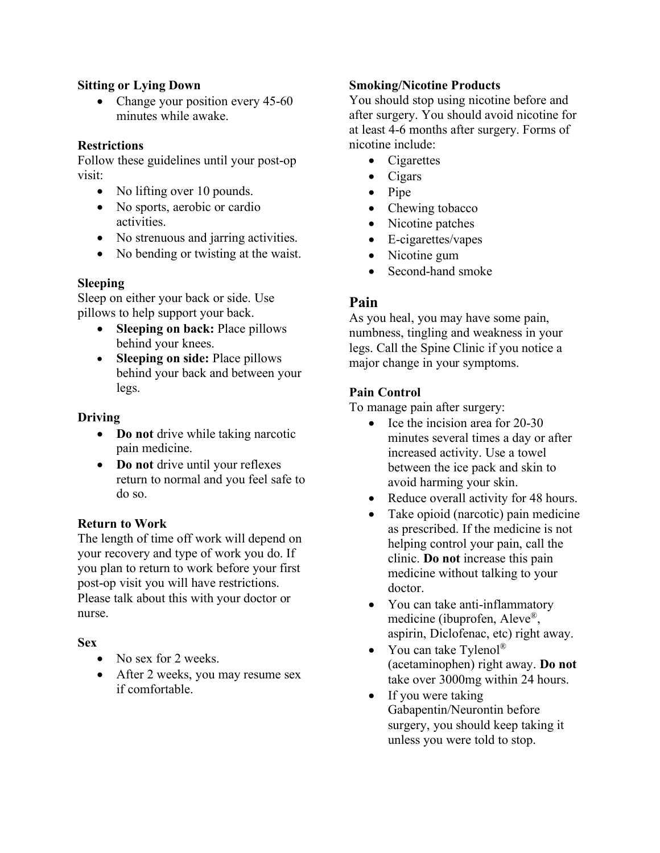#### **Sitting or Lying Down**

• Change your position every 45-60 minutes while awake.

#### **Restrictions**

Follow these guidelines until your post-op visit:

- No lifting over 10 pounds.
- No sports, aerobic or cardio activities.
- No strenuous and jarring activities.
- No bending or twisting at the waist.

#### **Sleeping**

Sleep on either your back or side. Use pillows to help support your back.

- **Sleeping on back:** Place pillows behind your knees.
- **Sleeping on side:** Place pillows behind your back and between your legs.

#### **Driving**

- **Do not** drive while taking narcotic pain medicine.
- **Do not** drive until your reflexes return to normal and you feel safe to do so.

#### **Return to Work**

The length of time off work will depend on your recovery and type of work you do. If you plan to return to work before your first post-op visit you will have restrictions. Please talk about this with your doctor or nurse.

#### **Sex**

- No sex for 2 weeks.
- After 2 weeks, you may resume sex if comfortable.

#### **Smoking/Nicotine Products**

You should stop using nicotine before and after surgery. You should avoid nicotine for at least 4-6 months after surgery. Forms of nicotine include:

- Cigarettes
- Cigars
- Pipe
- Chewing tobacco
- Nicotine patches
- E-cigarettes/vapes
- Nicotine gum
- Second-hand smoke

#### **Pain**

As you heal, you may have some pain, numbness, tingling and weakness in your legs. Call the Spine Clinic if you notice a major change in your symptoms.

#### **Pain Control**

To manage pain after surgery:

- Ice the incision area for 20-30 minutes several times a day or after increased activity. Use a towel between the ice pack and skin to avoid harming your skin.
- Reduce overall activity for 48 hours.
- Take opioid (narcotic) pain medicine as prescribed. If the medicine is not helping control your pain, call the clinic. **Do not** increase this pain medicine without talking to your doctor.
- You can take anti-inflammatory medicine (ibuprofen, Aleve®, aspirin, Diclofenac, etc) right away.
- You can take Tylenol® (acetaminophen) right away. **Do not** take over 3000mg within 24 hours.
- If you were taking Gabapentin/Neurontin before surgery, you should keep taking it unless you were told to stop.